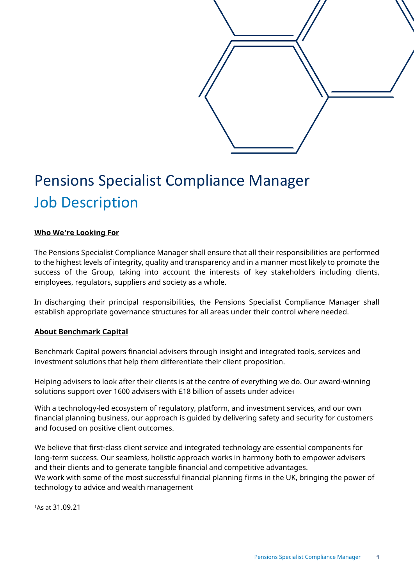

# Pensions Specialist Compliance Manager Job Description

## **Who We're Looking For**

The Pensions Specialist Compliance Manager shall ensure that all their responsibilities are performed to the highest levels of integrity, quality and transparency and in a manner most likely to promote the success of the Group, taking into account the interests of key stakeholders including clients, employees, regulators, suppliers and society as a whole.

In discharging their principal responsibilities, the Pensions Specialist Compliance Manager shall establish appropriate governance structures for all areas under their control where needed.

#### **About Benchmark Capital**

Benchmark Capital powers financial advisers through insight and integrated tools, services and investment solutions that help them differentiate their client proposition.

Helping advisers to look after their clients is at the centre of everything we do. Our award-winning solutions support over 1600 advisers with £18 billion of assets under advice1

With a technology-led ecosystem of regulatory, platform, and investment services, and our own financial planning business, our approach is guided by delivering safety and security for customers and focused on positive client outcomes.

We believe that first-class client service and integrated technology are essential components for long-term success. Our seamless, holistic approach works in harmony both to empower advisers and their clients and to generate tangible financial and competitive advantages. We work with some of the most successful financial planning firms in the UK, bringing the power of technology to advice and wealth management

1As at 31.09.21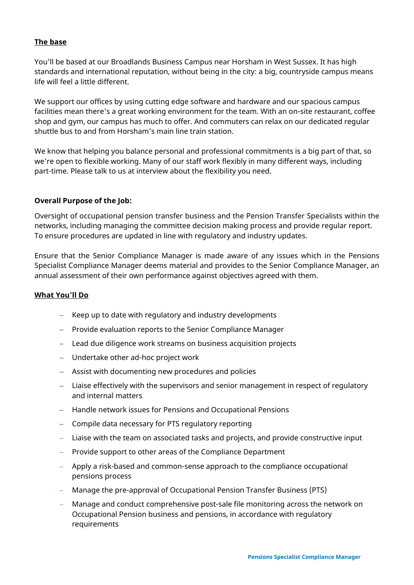# **The base**

You'll be based at our Broadlands Business Campus near Horsham in West Sussex. It has high standards and international reputation, without being in the city: a big, countryside campus means life will feel a little different.

We support our offices by using cutting edge software and hardware and our spacious campus facilities mean there's a great working environment for the team. With an on-site restaurant, coffee shop and gym, our campus has much to offer. And commuters can relax on our dedicated regular shuttle bus to and from Horsham's main line train station.

We know that helping you balance personal and professional commitments is a big part of that, so we're open to flexible working. Many of our staff work flexibly in many different ways, including part-time. Please talk to us at interview about the flexibility you need.

## **Overall Purpose of the Job:**

Oversight of occupational pension transfer business and the Pension Transfer Specialists within the networks, including managing the committee decision making process and provide regular report. To ensure procedures are updated in line with regulatory and industry updates.

Ensure that the Senior Compliance Manager is made aware of any issues which in the Pensions Specialist Compliance Manager deems material and provides to the Senior Compliance Manager, an annual assessment of their own performance against objectives agreed with them.

### **What You'll Do**

- Keep up to date with regulatory and industry developments
- − Provide evaluation reports to the Senior Compliance Manager
- − Lead due diligence work streams on business acquisition projects
- − Undertake other ad-hoc project work
- − Assist with documenting new procedures and policies
- − Liaise effectively with the supervisors and senior management in respect of regulatory and internal matters
- − Handle network issues for Pensions and Occupational Pensions
- − Compile data necessary for PTS regulatory reporting
- − Liaise with the team on associated tasks and projects, and provide constructive input
- − Provide support to other areas of the Compliance Department
- − Apply a risk-based and common-sense approach to the compliance occupational pensions process
- − Manage the pre-approval of Occupational Pension Transfer Business (PTS)
- − Manage and conduct comprehensive post-sale file monitoring across the network on Occupational Pension business and pensions, in accordance with regulatory requirements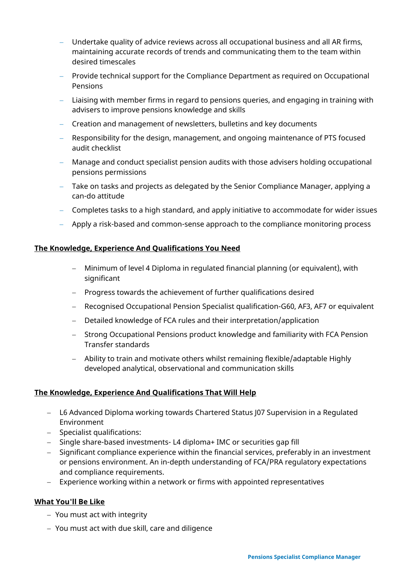- − Undertake quality of advice reviews across all occupational business and all AR firms, maintaining accurate records of trends and communicating them to the team within desired timescales
- − Provide technical support for the Compliance Department as required on Occupational Pensions
- − Liaising with member firms in regard to pensions queries, and engaging in training with advisers to improve pensions knowledge and skills
- − Creation and management of newsletters, bulletins and key documents
- − Responsibility for the design, management, and ongoing maintenance of PTS focused audit checklist
- − Manage and conduct specialist pension audits with those advisers holding occupational pensions permissions
- − Take on tasks and projects as delegated by the Senior Compliance Manager, applying a can-do attitude
- − Completes tasks to a high standard, and apply initiative to accommodate for wider issues
- − Apply a risk-based and common-sense approach to the compliance monitoring process

#### **The Knowledge, Experience And Qualifications You Need**

- − Minimum of level 4 Diploma in regulated financial planning (or equivalent), with significant
- − Progress towards the achievement of further qualifications desired
- − Recognised Occupational Pension Specialist qualification-G60, AF3, AF7 or equivalent
- − Detailed knowledge of FCA rules and their interpretation/application
- − Strong Occupational Pensions product knowledge and familiarity with FCA Pension Transfer standards
- − Ability to train and motivate others whilst remaining flexible/adaptable Highly developed analytical, observational and communication skills

# **The Knowledge, Experience And Qualifications That Will Help**

- − L6 Advanced Diploma working towards Chartered Status J07 Supervision in a Regulated Environment
- − Specialist qualifications:
- − Single share-based investments- L4 diploma+ IMC or securities gap fill
- − Significant compliance experience within the financial services, preferably in an investment or pensions environment. An in-depth understanding of FCA/PRA regulatory expectations and compliance requirements.
- − Experience working within a network or firms with appointed representatives

### **What You'll Be Like**

- − You must act with integrity
- − You must act with due skill, care and diligence